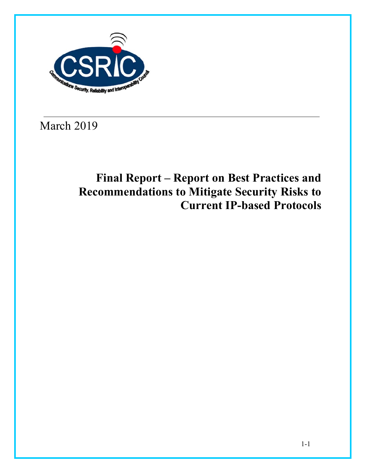

March 2019

# **Final Report – Report on Best Practices and Recommendations to Mitigate Security Risks to Current IP-based Protocols**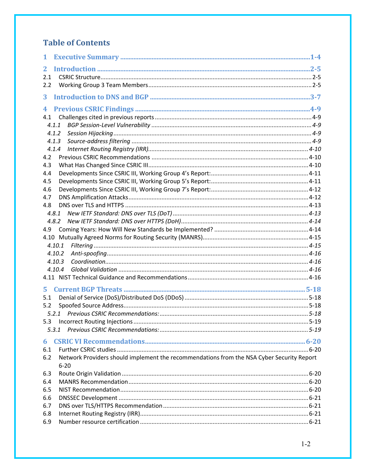## **Table of Contents**

| 1                                                                                                |  |
|--------------------------------------------------------------------------------------------------|--|
| $\mathbf{2}$                                                                                     |  |
| 2.1                                                                                              |  |
| 2.2                                                                                              |  |
| 3                                                                                                |  |
| 4                                                                                                |  |
| 4.1                                                                                              |  |
| 4.1.1                                                                                            |  |
| 4.1.2                                                                                            |  |
| 4.1.3                                                                                            |  |
| 4.1.4                                                                                            |  |
| 4.2                                                                                              |  |
| 4.3                                                                                              |  |
| 4.4                                                                                              |  |
| 4.5                                                                                              |  |
| 4.6                                                                                              |  |
| 4.7                                                                                              |  |
| 4.8                                                                                              |  |
| 4.8.1                                                                                            |  |
| 4.8.2                                                                                            |  |
| 4.9                                                                                              |  |
|                                                                                                  |  |
| 4.10.1                                                                                           |  |
| 4.10.2                                                                                           |  |
| 4.10.3                                                                                           |  |
| 4.10.4                                                                                           |  |
|                                                                                                  |  |
| 5.                                                                                               |  |
| 5.1                                                                                              |  |
| 5.2                                                                                              |  |
|                                                                                                  |  |
|                                                                                                  |  |
|                                                                                                  |  |
| 6                                                                                                |  |
| 6.1                                                                                              |  |
| Network Providers should implement the recommendations from the NSA Cyber Security Report<br>6.2 |  |
| $6 - 20$                                                                                         |  |
| 6.3                                                                                              |  |
| 6.4                                                                                              |  |
| 6.5                                                                                              |  |
| 6.6                                                                                              |  |
| 6.7                                                                                              |  |
| 6.8                                                                                              |  |
| 6.9                                                                                              |  |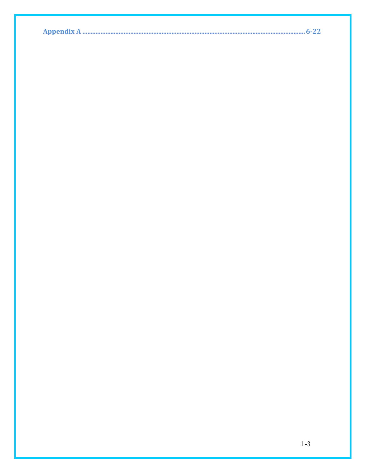|--|--|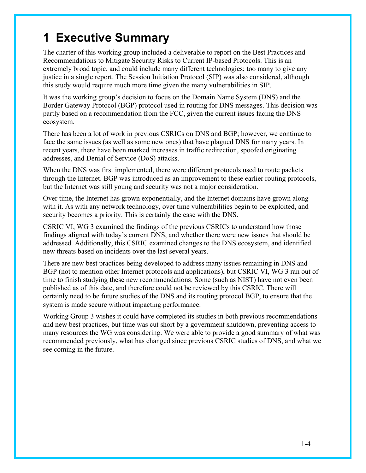# **1 Executive Summary**

The charter of this working group included a deliverable to report on the Best Practices and Recommendations to Mitigate Security Risks to Current IP-based Protocols. This is an extremely broad topic, and could include many different technologies; too many to give any justice in a single report. The Session Initiation Protocol (SIP) was also considered, although this study would require much more time given the many vulnerabilities in SIP.

It was the working group's decision to focus on the Domain Name System (DNS) and the Border Gateway Protocol (BGP) protocol used in routing for DNS messages. This decision was partly based on a recommendation from the FCC, given the current issues facing the DNS ecosystem.

There has been a lot of work in previous CSRICs on DNS and BGP; however, we continue to face the same issues (as well as some new ones) that have plagued DNS for many years. In recent years, there have been marked increases in traffic redirection, spoofed originating addresses, and Denial of Service (DoS) attacks.

When the DNS was first implemented, there were different protocols used to route packets through the Internet. BGP was introduced as an improvement to these earlier routing protocols, but the Internet was still young and security was not a major consideration.

Over time, the Internet has grown exponentially, and the Internet domains have grown along with it. As with any network technology, over time vulnerabilities begin to be exploited, and security becomes a priority. This is certainly the case with the DNS.

CSRIC VI, WG 3 examined the findings of the previous CSRICs to understand how those findings aligned with today's current DNS, and whether there were new issues that should be addressed. Additionally, this CSRIC examined changes to the DNS ecosystem, and identified new threats based on incidents over the last several years.

There are new best practices being developed to address many issues remaining in DNS and BGP (not to mention other Internet protocols and applications), but CSRIC VI, WG 3 ran out of time to finish studying these new recommendations. Some (such as NIST) have not even been published as of this date, and therefore could not be reviewed by this CSRIC. There will certainly need to be future studies of the DNS and its routing protocol BGP, to ensure that the system is made secure without impacting performance.

Working Group 3 wishes it could have completed its studies in both previous recommendations and new best practices, but time was cut short by a government shutdown, preventing access to many resources the WG was considering. We were able to provide a good summary of what was recommended previously, what has changed since previous CSRIC studies of DNS, and what we see coming in the future.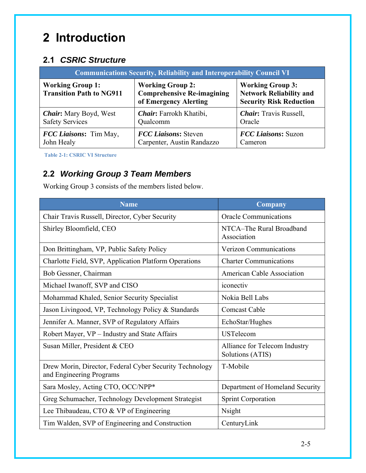# **2 Introduction**

## **2.1** *CSRIC Structure*

| <b>Communications Security, Reliability and Interoperability Council VI</b> |                                                                                       |                                                                                             |  |
|-----------------------------------------------------------------------------|---------------------------------------------------------------------------------------|---------------------------------------------------------------------------------------------|--|
| <b>Working Group 1:</b><br><b>Transition Path to NG911</b>                  | <b>Working Group 2:</b><br><b>Comprehensive Re-imagining</b><br>of Emergency Alerting | <b>Working Group 3:</b><br><b>Network Reliability and</b><br><b>Security Risk Reduction</b> |  |
| <b>Chair:</b> Mary Boyd, West                                               | Chair: Farrokh Khatibi,                                                               | <b>Chair:</b> Travis Russell,                                                               |  |
| <b>Safety Services</b>                                                      | Qualcomm                                                                              | Oracle                                                                                      |  |
| <b>FCC Liaisons:</b> Tim May,                                               | <b>FCC Liaisons: Steven</b>                                                           | <b>FCC Liaisons: Suzon</b>                                                                  |  |
| John Healy                                                                  | Carpenter, Austin Randazzo                                                            | Cameron                                                                                     |  |

 **Table 2-1: CSRIC VI Structure** 

## **2.2** *Working Group 3 Team Members*

Working Group 3 consists of the members listed below.

| <b>Name</b>                                                                         | <b>Company</b>                                    |
|-------------------------------------------------------------------------------------|---------------------------------------------------|
| Chair Travis Russell, Director, Cyber Security                                      | <b>Oracle Communications</b>                      |
| Shirley Bloomfield, CEO                                                             | NTCA-The Rural Broadband<br>Association           |
| Don Brittingham, VP, Public Safety Policy                                           | Verizon Communications                            |
| Charlotte Field, SVP, Application Platform Operations                               | <b>Charter Communications</b>                     |
| Bob Gessner, Chairman                                                               | <b>American Cable Association</b>                 |
| Michael Iwanoff, SVP and CISO                                                       | iconectiv                                         |
| Mohammad Khaled, Senior Security Specialist                                         | Nokia Bell Labs                                   |
| Jason Livingood, VP, Technology Policy & Standards                                  | Comcast Cable                                     |
| Jennifer A. Manner, SVP of Regulatory Affairs                                       | EchoStar/Hughes                                   |
| Robert Mayer, VP – Industry and State Affairs                                       | <b>USTelecom</b>                                  |
| Susan Miller, President & CEO                                                       | Alliance for Telecom Industry<br>Solutions (ATIS) |
| Drew Morin, Director, Federal Cyber Security Technology<br>and Engineering Programs | T-Mobile                                          |
| Sara Mosley, Acting CTO, OCC/NPP*                                                   | Department of Homeland Security                   |
| Greg Schumacher, Technology Development Strategist                                  | <b>Sprint Corporation</b>                         |
| Lee Thibaudeau, CTO & VP of Engineering                                             | <b>N</b> sight                                    |
| Tim Walden, SVP of Engineering and Construction                                     | CenturyLink                                       |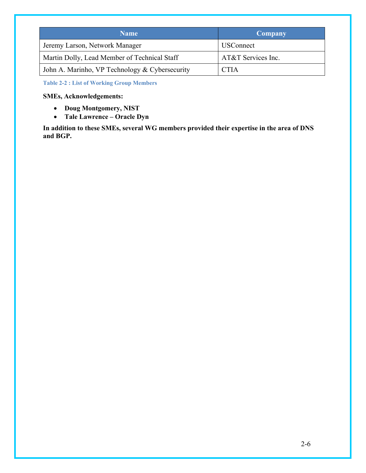| <b>Name</b>                                    | Company            |
|------------------------------------------------|--------------------|
| Jeremy Larson, Network Manager                 | <b>USConnect</b>   |
| Martin Dolly, Lead Member of Technical Staff   | AT&T Services Inc. |
| John A. Marinho, VP Technology & Cybersecurity | <b>CTIA</b>        |

**Table 2-2 : List of Working Group Members** 

#### **SMEs, Acknowledgements:**

- **Doug Montgomery, NIST**
- **Tale Lawrence Oracle Dyn**

**In addition to these SMEs, several WG members provided their expertise in the area of DNS and BGP.**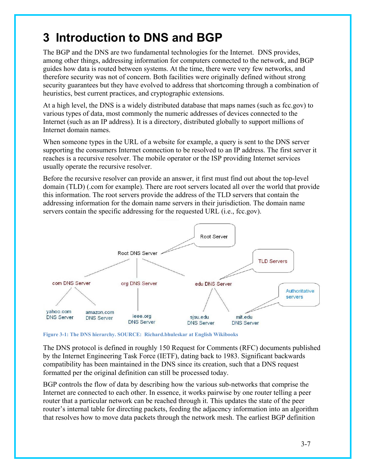# **3 Introduction to DNS and BGP**

The BGP and the DNS are two fundamental technologies for the Internet. DNS provides, among other things, addressing information for computers connected to the network, and BGP guides how data is routed between systems. At the time, there were very few networks, and therefore security was not of concern. Both facilities were originally defined without strong security guarantees but they have evolved to address that shortcoming through a combination of heuristics, best current practices, and cryptographic extensions.

At a high level, the DNS is a widely distributed database that maps names (such as fcc.gov) to various types of data, most commonly the numeric addresses of devices connected to the Internet (such as an IP address). It is a directory, distributed globally to support millions of Internet domain names.

When someone types in the URL of a website for example, a query is sent to the DNS server supporting the consumers Internet connection to be resolved to an IP address. The first server it reaches is a recursive resolver. The mobile operator or the ISP providing Internet services usually operate the recursive resolver.

Before the recursive resolver can provide an answer, it first must find out about the top-level domain (TLD) (.com for example). There are root servers located all over the world that provide this information. The root servers provide the address of the TLD servers that contain the addressing information for the domain name servers in their jurisdiction. The domain name servers contain the specific addressing for the requested URL (i.e., fcc.gov).



**Figure 3-1: The DNS hierarchy. SOURCE: Richard.bhuleskar at English Wikibooks** 

The DNS protocol is defined in roughly 150 Request for Comments (RFC) documents published by the Internet Engineering Task Force (IETF), dating back to 1983. Significant backwards compatibility has been maintained in the DNS since its creation, such that a DNS request formatted per the original definition can still be processed today.

BGP controls the flow of data by describing how the various sub-networks that comprise the Internet are connected to each other. In essence, it works pairwise by one router telling a peer router that a particular network can be reached through it. This updates the state of the peer router's internal table for directing packets, feeding the adjacency information into an algorithm that resolves how to move data packets through the network mesh. The earliest BGP definition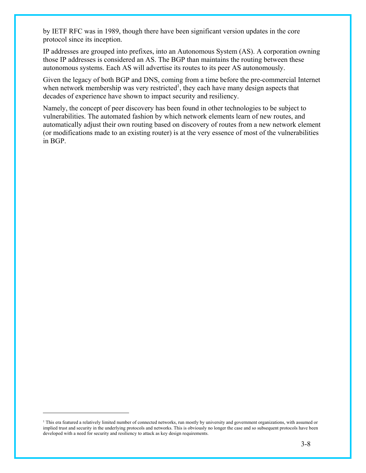by IETF RFC was in 1989, though there have been significant version updates in the core protocol since its inception.

IP addresses are grouped into prefixes, into an Autonomous System (AS). A corporation owning those IP addresses is considered an AS. The BGP than maintains the routing between these autonomous systems. Each AS will advertise its routes to its peer AS autonomously.

Given the legacy of both BGP and DNS, coming from a time before the pre-commercial Internet when network membership was very restricted<sup>1</sup>, they each have many design aspects that decades of experience have shown to impact security and resiliency.

Namely, the concept of peer discovery has been found in other technologies to be subject to vulnerabilities. The automated fashion by which network elements learn of new routes, and automatically adjust their own routing based on discovery of routes from a new network element (or modifications made to an existing router) is at the very essence of most of the vulnerabilities in BGP.

<sup>1</sup> This era featured a relatively limited number of connected networks, run mostly by university and government organizations, with assumed or implied trust and security in the underlying protocols and networks. This is obviously no longer the case and so subsequent protocols have been developed with a need for security and resiliency to attack as key design requirements.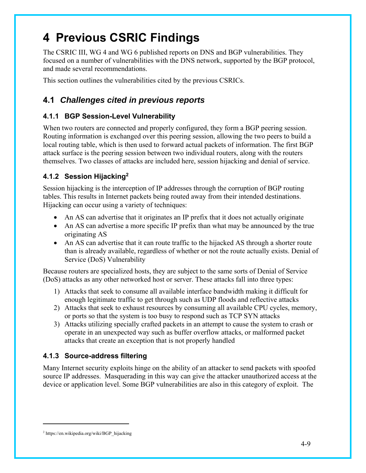# **4 Previous CSRIC Findings**

The CSRIC III, WG 4 and WG 6 published reports on DNS and BGP vulnerabilities. They focused on a number of vulnerabilities with the DNS network, supported by the BGP protocol, and made several recommendations.

This section outlines the vulnerabilities cited by the previous CSRICs.

## **4.1** *Challenges cited in previous reports*

### **4.1.1 BGP Session-Level Vulnerability**

When two routers are connected and properly configured, they form a BGP peering session. Routing information is exchanged over this peering session, allowing the two peers to build a local routing table, which is then used to forward actual packets of information. The first BGP attack surface is the peering session between two individual routers, along with the routers themselves. Two classes of attacks are included here, session hijacking and denial of service.

### **4.1.2 Session Hijacking2**

Session hijacking is the interception of IP addresses through the corruption of BGP routing tables. This results in Internet packets being routed away from their intended destinations. Hijacking can occur using a variety of techniques:

- An AS can advertise that it originates an IP prefix that it does not actually originate
- An AS can advertise a more specific IP prefix than what may be announced by the true originating AS
- An AS can advertise that it can route traffic to the hijacked AS through a shorter route than is already available, regardless of whether or not the route actually exists. Denial of Service (DoS) Vulnerability

Because routers are specialized hosts, they are subject to the same sorts of Denial of Service (DoS) attacks as any other networked host or server. These attacks fall into three types:

- 1) Attacks that seek to consume all available interface bandwidth making it difficult for enough legitimate traffic to get through such as UDP floods and reflective attacks
- 2) Attacks that seek to exhaust resources by consuming all available CPU cycles, memory, or ports so that the system is too busy to respond such as TCP SYN attacks
- 3) Attacks utilizing specially crafted packets in an attempt to cause the system to crash or operate in an unexpected way such as buffer overflow attacks, or malformed packet attacks that create an exception that is not properly handled

### **4.1.3 Source-address filtering**

Many Internet security exploits hinge on the ability of an attacker to send packets with spoofed source IP addresses. Masquerading in this way can give the attacker unauthorized access at the device or application level. Some BGP vulnerabilities are also in this category of exploit. The

<sup>2</sup> https://en.wikipedia.org/wiki/BGP\_hijacking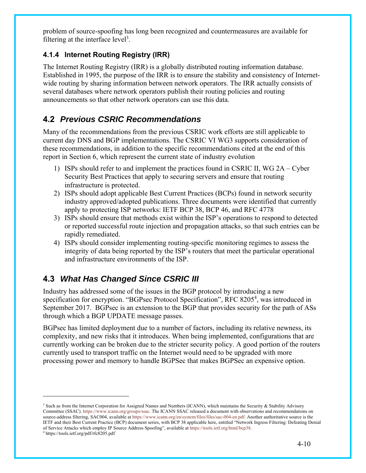problem of source-spoofing has long been recognized and countermeasures are available for filtering at the interface  $level<sup>3</sup>$ .

#### **4.1.4 Internet Routing Registry (IRR)**

The Internet Routing Registry (IRR) is a globally distributed routing information database. Established in 1995, the purpose of the IRR is to ensure the stability and consistency of Internetwide routing by sharing information between network operators. The IRR actually consists of several databases where network operators publish their routing policies and routing announcements so that other network operators can use this data.

## **4.2** *Previous CSRIC Recommendations*

Many of the recommendations from the previous CSRIC work efforts are still applicable to current day DNS and BGP implementations. The CSRIC VI WG3 supports consideration of these recommendations, in addition to the specific recommendations cited at the end of this report in Section 6, which represent the current state of industry evolution

- 1) ISPs should refer to and implement the practices found in CSRIC II, WG 2A Cyber Security Best Practices that apply to securing servers and ensure that routing infrastructure is protected.
- 2) ISPs should adopt applicable Best Current Practices (BCPs) found in network security industry approved/adopted publications. Three documents were identified that currently apply to protecting ISP networks: IETF BCP 38, BCP 46, and RFC 4778
- 3) ISPs should ensure that methods exist within the ISP's operations to respond to detected or reported successful route injection and propagation attacks, so that such entries can be rapidly remediated.
- 4) ISPs should consider implementing routing-specific monitoring regimes to assess the integrity of data being reported by the ISP's routers that meet the particular operational and infrastructure environments of the ISP.

## **4.3** *What Has Changed Since CSRIC III*

Industry has addressed some of the issues in the BGP protocol by introducing a new specification for encryption. "BGPsec Protocol Specification", RFC 8205<sup>4</sup>, was introduced in September 2017. BGPsec is an extension to the BGP that provides security for the path of ASs through which a BGP UPDATE message passes.

BGPsec has limited deployment due to a number of factors, including its relative newness, its complexity, and new risks that it introduces. When being implemented, configurations that are currently working can be broken due to the stricter security policy. A good portion of the routers currently used to transport traffic on the Internet would need to be upgraded with more processing power and memory to handle BGPSec that makes BGPSec an expensive option.

<sup>&</sup>lt;sup>3</sup> Such as from the Internet Corporation for Assigned Names and Numbers (ICANN), which maintains the Security & Stability Advisory Committee (SSAC). https://www.icann.org/groups/ssac. The ICANN SSAC released a document with observations and recommendations on source-address filtering, SAC004, available at https://www.icann.org/en/system/files/files/sac-004-en.pdf. Another authoritative source is the IETF and their Best Current Practice (BCP) document series, with BCP 38 applicable here, entitled "Network Ingress Filtering: Defeating Denial of Service Attacks which employ IP Source Address Spoofing", available at https://tools.ietf.org/html/bcp38. 4

https://tools.ietf.org/pdf/rfc8205.pdf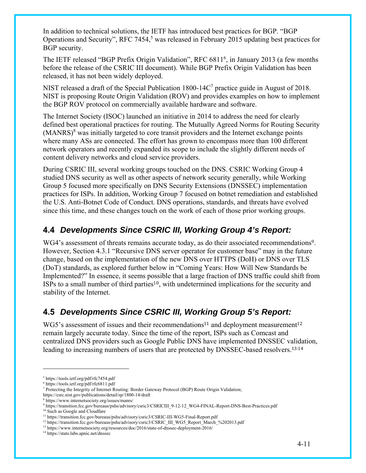In addition to technical solutions, the IETF has introduced best practices for BGP. "BGP Operations and Security", RFC 7454,<sup>5</sup> was released in February 2015 updating best practices for BGP security.

The IETF released "BGP Prefix Origin Validation", RFC 6811<sup>6</sup>, in January 2013 (a few months before the release of the CSRIC III document). While BGP Prefix Origin Validation has been released, it has not been widely deployed.

NIST released a draft of the Special Publication  $1800-14C<sup>7</sup>$  practice guide in August of 2018. NIST is proposing Route Origin Validation (ROV) and provides examples on how to implement the BGP ROV protocol on commercially available hardware and software.

The Internet Society (ISOC) launched an initiative in 2014 to address the need for clearly defined best operational practices for routing. The Mutually Agreed Norms for Routing Security  $(MANRS)^8$  was initially targeted to core transit providers and the Internet exchange points where many ASs are connected. The effort has grown to encompass more than 100 different network operators and recently expanded its scope to include the slightly different needs of content delivery networks and cloud service providers.

During CSRIC III, several working groups touched on the DNS. CSRIC Working Group 4 studied DNS security as well as other aspects of network security generally, while Working Group 5 focused more specifically on DNS Security Extensions (DNSSEC) implementation practices for ISPs. In addition, Working Group 7 focused on botnet remediation and established the U.S. Anti-Botnet Code of Conduct. DNS operations, standards, and threats have evolved since this time, and these changes touch on the work of each of those prior working groups.

## **4.4** *Developments Since CSRIC III, Working Group 4's Report:*

WG4's assessment of threats remains accurate today, as do their associated recommendations<sup>9</sup>. However, Section 4.3.1 "Recursive DNS server operator for customer base" may in the future change, based on the implementation of the new DNS over HTTPS (DoH) or DNS over TLS (DoT) standards, as explored further below in "Coming Years: How Will New Standards be Implemented?" In essence, it seems possible that a large fraction of DNS traffic could shift from ISPs to a small number of third parties<sup>10</sup>, with undetermined implications for the security and stability of the Internet.

## **4.5** *Developments Since CSRIC III, Working Group 5's Report:*

 $WG5$ 's assessment of issues and their recommendations<sup>11</sup> and deployment measurement<sup>12</sup> remain largely accurate today. Since the time of the report, ISPs such as Comcast and centralized DNS providers such as Google Public DNS have implemented DNSSEC validation, leading to increasing numbers of users that are protected by DNSSEC-based resolvers.13,<sup>14</sup>

1

<sup>&</sup>lt;sup>5</sup> https://tools.ietf.org/pdf/rfc7454.pdf<br><sup>6</sup> https://tools.ietf.org/pdf/rfc6811.pdf

https://tools.ietf.org/pdf/rfc6811.pdf 7

<sup>&</sup>lt;sup>7</sup> Protecting the Integrity of Internet Routing: Border Gateway Protocol (BGP) Route Origin Validation;

https://csrc.nist.gov/publications/detail/sp/1800-14/draft 8

https://www.internetsociety.org/issues/manrs/ 9

<sup>&</sup>lt;sup>9</sup> https://transition.fcc.gov/bureaus/pshs/advisory/csric3/CSRICIII\_9-12-12\_WG4-FINAL-Report-DNS-Best-Practices.pdf <sup>10</sup> Such as Google and Cloudfare<br><sup>10</sup> Such as Google and Cloudfare<br><sup>11</sup> https://transition.fcc.gov/burea

<sup>&</sup>lt;sup>12</sup> https://transition.fcc.gov/bureaus/pshs/advisory/csric3/CSRIC\_III\_WG5\_Report\_March\_%202013.pdf<br><sup>13</sup> https://www.internetsociety.org/resources/doc/2016/state-of-dnssec-deployment-2016/<br><sup>14</sup> https://stats.labs.apnic.ne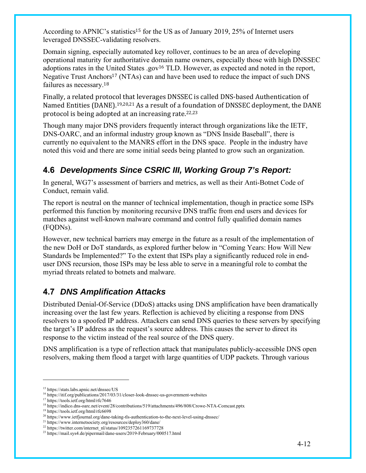According to APNIC's statistics<sup>15</sup> for the US as of January 2019, 25% of Internet users leveraged DNSSEC-validating resolvers.

Domain signing, especially automated key rollover, continues to be an area of developing operational maturity for authoritative domain name owners, especially those with high DNSSEC adoptions rates in the United States .gov<sup>16</sup> TLD. However, as expected and noted in the report, Negative Trust Anchors<sup>17</sup> (NTAs) can and have been used to reduce the impact of such DNS failures as necessary.<sup>18</sup>

Finally, a related protocol that leverages DNSSEC is called DNS-based Authentication of Named Entities (DANE).<sup>19,20,21</sup> As a result of a foundation of DNSSEC deployment, the DANE protocol is being adopted at an increasing rate. $22,23$ 

Though many major DNS providers frequently interact through organizations like the IETF, DNS-OARC, and an informal industry group known as "DNS Inside Baseball", there is currently no equivalent to the MANRS effort in the DNS space. People in the industry have noted this void and there are some initial seeds being planted to grow such an organization.

## **4.6** *Developments Since CSRIC III, Working Group 7's Report:*

In general, WG7's assessment of barriers and metrics, as well as their Anti-Botnet Code of Conduct, remain valid.

The report is neutral on the manner of technical implementation, though in practice some ISPs performed this function by monitoring recursive DNS traffic from end users and devices for matches against well-known malware command and control fully qualified domain names (FQDNs).

However, new technical barriers may emerge in the future as a result of the implementation of the new DoH or DoT standards, as explored further below in "Coming Years: How Will New Standards be Implemented?" To the extent that ISPs play a significantly reduced role in enduser DNS recursion, those ISPs may be less able to serve in a meaningful role to combat the myriad threats related to botnets and malware.

## **4.7** *DNS Amplification Attacks*

Distributed Denial-Of-Service (DDoS) attacks using DNS amplification have been dramatically increasing over the last few years. Reflection is achieved by eliciting a response from DNS resolvers to a spoofed IP address. Attackers can send DNS queries to these servers by specifying the target's IP address as the request's source address. This causes the server to direct its response to the victim instead of the real source of the DNS query.

DNS amplification is a type of reflection attack that manipulates publicly-accessible DNS open resolvers, making them flood a target with large quantities of UDP packets. Through various

<sup>15</sup> https://stats.labs.apnic.net/dnssec/US

<sup>16</sup> https://itif.org/publications/2017/03/31/closer-look-dnssec-us-government-websites 17 https://tools.ietf.org/html/rfc7646

 $^{18}$ https://indico.dns-oarc.net/event/28/contributions/519/attachments/496/808/Crowe-NTA-Comcast.pptx  $^{19}$  https://tools.ietf.org/html/rfc6698

<sup>&</sup>lt;sup>20</sup> https://www.ietfjournal.org/dane-taking-tls-authentication-to-the-next-level-using-dnssec/ <sup>21</sup> https://www.internetsociety.org/resources/deploy360/dane/ <sup>22</sup> https://twitter.com/internet\_nl/status/109235726116973772

<sup>&</sup>lt;sup>23</sup> https://mail.sys4.de/pipermail/dane-users/2019-February/000517.html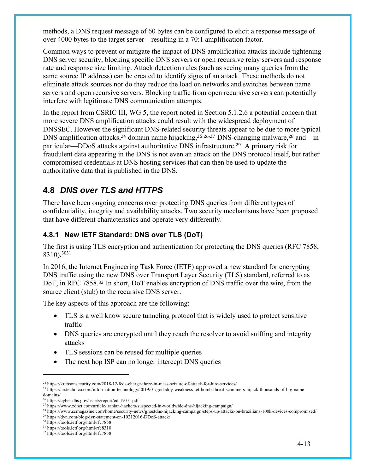methods, a DNS request message of 60 bytes can be configured to elicit a response message of over 4000 bytes to the target server – resulting in a 70:1 amplification factor.

Common ways to prevent or mitigate the impact of DNS amplification attacks include tightening DNS server security, blocking specific DNS servers or open recursive relay servers and response rate and response size limiting. Attack detection rules (such as seeing many queries from the same source IP address) can be created to identify signs of an attack. These methods do not eliminate attack sources nor do they reduce the load on networks and switches between name servers and open recursive servers. Blocking traffic from open recursive servers can potentially interfere with legitimate DNS communication attempts.

In the report from CSRIC III, WG 5, the report noted in Section 5.1.2.6 a potential concern that more severe DNS amplification attacks could result with the widespread deployment of DNSSEC. However the significant DNS-related security threats appear to be due to more typical DNS amplification attacks,<sup>24</sup> domain name hijacking,<sup>25,26,27</sup> DNS-changing malware,<sup>28</sup> and—in particular—DDoS attacks against authoritative DNS infrastructure.29 A primary risk for fraudulent data appearing in the DNS is not even an attack on the DNS protocol itself, but rather compromised credentials at DNS hosting services that can then be used to update the authoritative data that is published in the DNS.

## **4.8** *DNS over TLS and HTTPS*

There have been ongoing concerns over protecting DNS queries from different types of confidentiality, integrity and availability attacks. Two security mechanisms have been proposed that have different characteristics and operate very differently.

#### **4.8.1 New IETF Standard: DNS over TLS (DoT)**

The first is using TLS encryption and authentication for protecting the DNS queries (RFC 7858, 8310).3031

In 2016, the Internet Engineering Task Force (IETF) approved a new standard for encrypting DNS traffic using the new DNS over Transport Layer Security (TLS) standard, referred to as DoT, in RFC 7858.32 In short, DoT enables encryption of DNS traffic over the wire, from the source client (stub) to the recursive DNS server.

The key aspects of this approach are the following:

- TLS is a well know secure tunneling protocol that is widely used to protect sensitive traffic
- DNS queries are encrypted until they reach the resolver to avoid sniffing and integrity attacks
- TLS sessions can be reused for multiple queries
- The next hop ISP can no longer intercept DNS queries

<sup>&</sup>lt;sup>24</sup> https://krebsonsecurity.com/2018/12/feds-charge-three-in-mass-seizure-of-attack-for-hire-services/<br><sup>25</sup> https://arstechnica.com/information-technology/2019/01/godaddy-weakness-let-bomb-threat-scammers-hijack-thousands domains/

<sup>&</sup>lt;sup>26</sup> https://cyber.dhs.gov/assets/report/ed-19-01.pdf<br><sup>27</sup> https://www.zdnet.com/article/iranian-hackers-suspected-in-worldwide-dns-hijacking-campaign/<br><sup>28</sup> https://www.scmagazine.com/home/security-news/ghostdns-hijacking-

<sup>31</sup> https://tools.ietf.org/html/rfc8310

<sup>32</sup> https://tools.ietf.org/html/rfc7858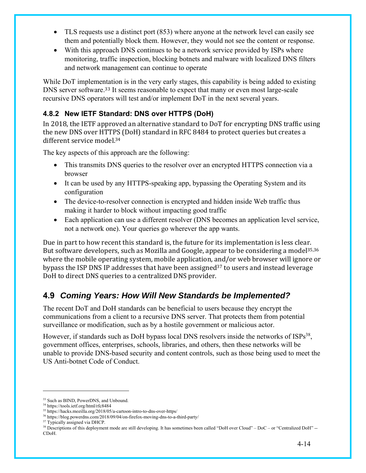- TLS requests use a distinct port (853) where anyone at the network level can easily see them and potentially block them. However, they would not see the content or response.
- With this approach DNS continues to be a network service provided by ISPs where monitoring, traffic inspection, blocking botnets and malware with localized DNS filters and network management can continue to operate

While DoT implementation is in the very early stages, this capability is being added to existing DNS server software.<sup>33</sup> It seems reasonable to expect that many or even most large-scale recursive DNS operators will test and/or implement DoT in the next several years.

### **4.8.2 New IETF Standard: DNS over HTTPS (DoH)**

In 2018, the IETF approved an alternative standard to DoT for encrypting DNS traffic using the new DNS over HTTPS (DoH) standard in RFC 8484 to protect queries but creates a different service model.<sup>34</sup>

The key aspects of this approach are the following:

- This transmits DNS queries to the resolver over an encrypted HTTPS connection via a browser
- It can be used by any HTTPS-speaking app, bypassing the Operating System and its configuration
- The device-to-resolver connection is encrypted and hidden inside Web traffic thus making it harder to block without impacting good traffic
- Each application can use a different resolver (DNS becomes an application level service, not a network one). Your queries go wherever the app wants.

Due in part to how recent this standard is, the future for its implementation is less clear. But software developers, such as Mozilla and Google, appear to be considering a model<sup>35,36</sup> where the mobile operating system, mobile application, and/or web browser will ignore or bypass the ISP DNS IP addresses that have been assigned<sup>37</sup> to users and instead leverage DoH to direct DNS queries to a centralized DNS provider.

## **4.9** *Coming Years: How Will New Standards be Implemented?*

The recent DoT and DoH standards can be beneficial to users because they encrypt the communications from a client to a recursive DNS server. That protects them from potential surveillance or modification, such as by a hostile government or malicious actor.

However, if standards such as DoH bypass local DNS resolvers inside the networks of ISPs<sup>38</sup>, government offices, enterprises, schools, libraries, and others, then these networks will be unable to provide DNS-based security and content controls, such as those being used to meet the US Anti-botnet Code of Conduct.

1

<sup>33</sup> Such as BIND, PowerDNS, and Unbound.

 $^{34}$ https://tools.ietf.org/html/rfc8484 $^{35}$ https://hacks.mozilla.org/2018/05/a-cartoon-intro-to-dns-over-https/

<sup>&</sup>lt;sup>36</sup> https://blog.powerdns.com/2018/09/04/on-firefox-moving-dns-to-a-third-party/  $37$  Typically assigned via DHCP.

<sup>&</sup>lt;sup>38</sup> Descriptions of this deployment mode are still developing. It has sometimes been called "DoH over Cloud" – DoC – or "Centralized DoH" --CDoH.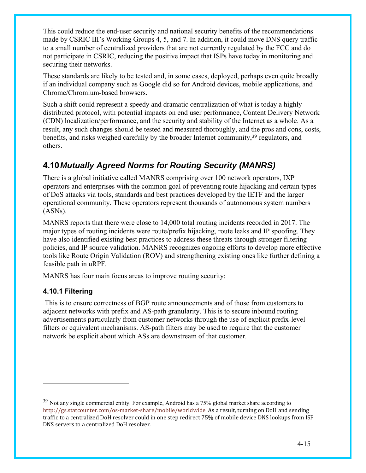This could reduce the end-user security and national security benefits of the recommendations made by CSRIC III's Working Groups 4, 5, and 7. In addition, it could move DNS query traffic to a small number of centralized providers that are not currently regulated by the FCC and do not participate in CSRIC, reducing the positive impact that ISPs have today in monitoring and securing their networks.

These standards are likely to be tested and, in some cases, deployed, perhaps even quite broadly if an individual company such as Google did so for Android devices, mobile applications, and Chrome/Chromium-based browsers.

Such a shift could represent a speedy and dramatic centralization of what is today a highly distributed protocol, with potential impacts on end user performance, Content Delivery Network (CDN) localization/performance, and the security and stability of the Internet as a whole. As a result, any such changes should be tested and measured thoroughly, and the pros and cons, costs, benefits, and risks weighed carefully by the broader Internet community,<sup>39</sup> regulators, and others.

## **4.10** *Mutually Agreed Norms for Routing Security (MANRS)*

There is a global initiative called MANRS comprising over 100 network operators, IXP operators and enterprises with the common goal of preventing route hijacking and certain types of DoS attacks via tools, standards and best practices developed by the IETF and the larger operational community. These operators represent thousands of autonomous system numbers (ASNs).

MANRS reports that there were close to 14,000 total routing incidents recorded in 2017. The major types of routing incidents were route/prefix hijacking, route leaks and IP spoofing. They have also identified existing best practices to address these threats through stronger filtering policies, and IP source validation. MANRS recognizes ongoing efforts to develop more effective tools like Route Origin Validation (ROV) and strengthening existing ones like further defining a feasible path in uRPF.

MANRS has four main focus areas to improve routing security:

#### **4.10.1 Filtering**

 $\overline{a}$ 

 This is to ensure correctness of BGP route announcements and of those from customers to adjacent networks with prefix and AS-path granularity. This is to secure inbound routing advertisements particularly from customer networks through the use of explicit prefix-level filters or equivalent mechanisms. AS-path filters may be used to require that the customer network be explicit about which ASs are downstream of that customer.

<sup>&</sup>lt;sup>39</sup> Not any single commercial entity. For example, Android has a 75% global market share according to http://gs.statcounter.com/os-market-share/mobile/worldwide. As a result, turning on DoH and sending traffic to a centralized DoH resolver could in one step redirect 75% of mobile device DNS lookups from ISP DNS servers to a centralized DoH resolver.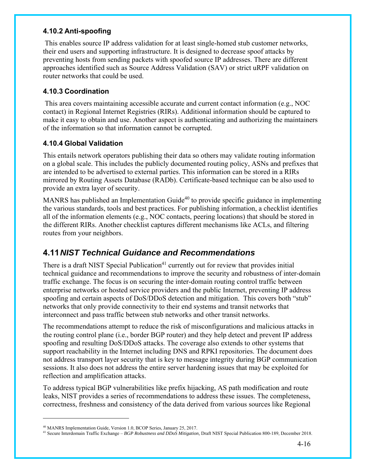#### **4.10.2 Anti-spoofing**

 This enables source IP address validation for at least single-homed stub customer networks, their end users and supporting infrastructure. It is designed to decrease spoof attacks by preventing hosts from sending packets with spoofed source IP addresses. There are different approaches identified such as Source Address Validation (SAV) or strict uRPF validation on router networks that could be used.

#### **4.10.3 Coordination**

 This area covers maintaining accessible accurate and current contact information (e.g., NOC contact) in Regional Internet Registries (RIRs). Additional information should be captured to make it easy to obtain and use. Another aspect is authenticating and authorizing the maintainers of the information so that information cannot be corrupted.

#### **4.10.4 Global Validation**

This entails network operators publishing their data so others may validate routing information on a global scale. This includes the publicly documented routing policy, ASNs and prefixes that are intended to be advertised to external parties. This information can be stored in a RIRs mirrored by Routing Assets Database (RADb). Certificate-based technique can be also used to provide an extra layer of security.

MANRS has published an Implementation Guide<sup>40</sup> to provide specific guidance in implementing the various standards, tools and best practices. For publishing information, a checklist identifies all of the information elements (e.g., NOC contacts, peering locations) that should be stored in the different RIRs. Another checklist captures different mechanisms like ACLs, and filtering routes from your neighbors.

### **4.11** *NIST Technical Guidance and Recommendations*

There is a draft NIST Special Publication<sup>41</sup> currently out for review that provides initial technical guidance and recommendations to improve the security and robustness of inter-domain traffic exchange. The focus is on securing the inter-domain routing control traffic between enterprise networks or hosted service providers and the public Internet, preventing IP address spoofing and certain aspects of DoS/DDoS detection and mitigation. This covers both "stub" networks that only provide connectivity to their end systems and transit networks that interconnect and pass traffic between stub networks and other transit networks.

The recommendations attempt to reduce the risk of misconfigurations and malicious attacks in the routing control plane (i.e., border BGP router) and they help detect and prevent IP address spoofing and resulting DoS/DDoS attacks. The coverage also extends to other systems that support reachability in the Internet including DNS and RPKI repositories. The document does not address transport layer security that is key to message integrity during BGP communication sessions. It also does not address the entire server hardening issues that may be exploited for reflection and amplification attacks.

To address typical BGP vulnerabilities like prefix hijacking, AS path modification and route leaks, NIST provides a series of recommendations to address these issues. The completeness, correctness, freshness and consistency of the data derived from various sources like Regional

<sup>40</sup> MANRS Implementation Guide, Version 1.0, BCOP Series, January 25, 2017. 41 Secure Interdomain Traffic Exchange – *BGP Robustness and DDoS Mitigation,* Draft NIST Special Publication 800-189, December 2018.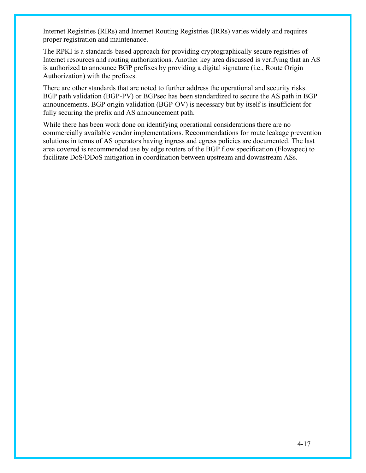Internet Registries (RIRs) and Internet Routing Registries (IRRs) varies widely and requires proper registration and maintenance.

The RPKI is a standards-based approach for providing cryptographically secure registries of Internet resources and routing authorizations. Another key area discussed is verifying that an AS is authorized to announce BGP prefixes by providing a digital signature (i.e., Route Origin Authorization) with the prefixes.

There are other standards that are noted to further address the operational and security risks. BGP path validation (BGP-PV) or BGPsec has been standardized to secure the AS path in BGP announcements. BGP origin validation (BGP-OV) is necessary but by itself is insufficient for fully securing the prefix and AS announcement path.

While there has been work done on identifying operational considerations there are no commercially available vendor implementations. Recommendations for route leakage prevention solutions in terms of AS operators having ingress and egress policies are documented. The last area covered is recommended use by edge routers of the BGP flow specification (Flowspec) to facilitate DoS/DDoS mitigation in coordination between upstream and downstream ASs.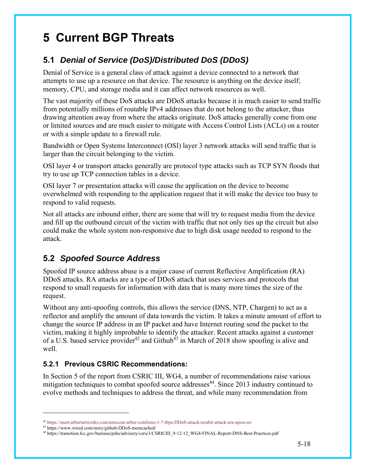# **5 Current BGP Threats**

## **5.1** *Denial of Service (DoS)/Distributed DoS (DDoS)*

Denial of Service is a general class of attack against a device connected to a network that attempts to use up a resource on that device. The resource is anything on the device itself; memory, CPU, and storage media and it can affect network resources as well.

The vast majority of these DoS attacks are DDoS attacks because it is much easier to send traffic from potentially millions of routable IPv4 addresses that do not belong to the attacker, thus drawing attention away from where the attacks originate. DoS attacks generally come from one or limited sources and are much easier to mitigate with Access Control Lists (ACLs) on a router or with a simple update to a firewall rule.

Bandwidth or Open Systems Interconnect (OSI) layer 3 network attacks will send traffic that is larger than the circuit belonging to the victim.

OSI layer 4 or transport attacks generally are protocol type attacks such as TCP SYN floods that try to use up TCP connection tables in a device.

OSI layer 7 or presentation attacks will cause the application on the device to become overwhelmed with responding to the application request that it will make the device too busy to respond to valid requests.

Not all attacks are inbound either, there are some that will try to request media from the device and fill up the outbound circuit of the victim with traffic that not only ties up the circuit but also could make the whole system non-responsive due to high disk usage needed to respond to the attack.

## **5.2** *Spoofed Source Address*

Spoofed IP source address abuse is a major cause of current Reflective Amplification (RA) DDoS attacks. RA attacks are a type of DDoS attack that uses services and protocols that respond to small requests for information with data that is many more times the size of the request.

Without any anti-spoofing controls, this allows the service (DNS, NTP, Chargen) to act as a reflector and amplify the amount of data towards the victim. It takes a minute amount of effort to change the source IP address in an IP packet and have Internet routing send the packet to the victim, making it highly improbable to identify the attacker. Recent attacks against a customer of a U.S. based service provider<sup>42</sup> and Github<sup>43</sup> in March of 2018 show spoofing is alive and well.

### **5.2.1 Previous CSRIC Recommendations:**

In Section 5 of the report from CSRIC III, WG4, a number of recommendations raise various mitigation techniques to combat spoofed source addresses<sup>44</sup>. Since 2013 industry continued to evolve methods and techniques to address the threat, and while many recommendation from

<sup>42</sup> https://asert.arbornetworks.com/netscout-arbor-confirms-1-7-tbps-DDoS-attack-terabit-attack-era-upon-us/

<sup>43</sup> https://www.wired.com/story/github-DDoS-memcached/

<sup>44</sup> https://transition.fcc.gov/bureaus/pshs/advisory/csric3/CSRICIII\_9-12-12\_WG4-FINAL-Report-DNS-Best-Practices.pdf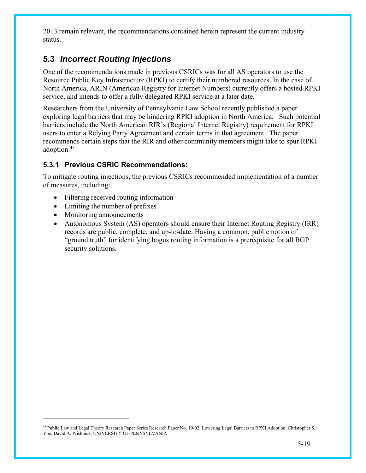2013 remain relevant, the recommendations contained herein represent the current industry status.

## **5.3** *Incorrect Routing Injections*

One of the recommendations made in previous CSRICs was for all AS operators to use the Resource Public Key Infrastructure (RPKI) to certify their numbered resources. In the case of North America, ARIN (American Registry for Internet Numbers) currently offers a hosted RPKI service, and intends to offer a fully delegated RPKI service at a later date.

Researchers from the University of Pennsylvania Law School recently published a paper exploring legal barriers that may be hindering RPKI adoption in North America. Such potential barriers include the North American RIR's (Regional Internet Registry) requirement for RPKI users to enter a Relying Party Agreement and certain terms in that agreement. The paper recommends certain steps that the RIR and other community members might take to spur RPKI adoption.45

### **5.3.1 Previous CSRIC Recommendations:**

To mitigate routing injections, the previous CSRICs recommended implementation of a number of measures, including:

- Filtering received routing information
- Limiting the number of prefixes
- Monitoring announcements

1

 Autonomous System (AS) operators should ensure their Internet Routing Registry (IRR) records are public, complete, and up-to-date: Having a common, public notion of "ground truth" for identifying bogus routing information is a prerequisite for all BGP security solutions.

<sup>45</sup> Public Law and Legal Theory Research Paper Series Research Paper No. 19-02; Lowering Legal Barriers to RPKI Adoption, Christopher S. Yoo, David A. Wishnick, UNIVERSITY OF PENNSYLVANIA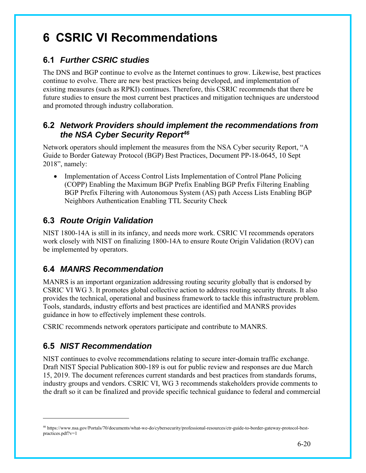# **6 CSRIC VI Recommendations**

## **6.1** *Further CSRIC studies*

The DNS and BGP continue to evolve as the Internet continues to grow. Likewise, best practices continue to evolve. There are new best practices being developed, and implementation of existing measures (such as RPKI) continues. Therefore, this CSRIC recommends that there be future studies to ensure the most current best practices and mitigation techniques are understood and promoted through industry collaboration.

### **6.2** *Network Providers should implement the recommendations from the NSA Cyber Security Report46*

Network operators should implement the measures from the NSA Cyber security Report, "A Guide to Border Gateway Protocol (BGP) Best Practices, Document PP-18-0645, 10 Sept 2018", namely:

• Implementation of Access Control Lists Implementation of Control Plane Policing (COPP) Enabling the Maximum BGP Prefix Enabling BGP Prefix Filtering Enabling BGP Prefix Filtering with Autonomous System (AS) path Access Lists Enabling BGP Neighbors Authentication Enabling TTL Security Check

## **6.3** *Route Origin Validation*

NIST 1800-14A is still in its infancy, and needs more work. CSRIC VI recommends operators work closely with NIST on finalizing 1800-14A to ensure Route Origin Validation (ROV) can be implemented by operators.

## **6.4** *MANRS Recommendation*

MANRS is an important organization addressing routing security globally that is endorsed by CSRIC VI WG 3. It promotes global collective action to address routing security threats. It also provides the technical, operational and business framework to tackle this infrastructure problem. Tools, standards, industry efforts and best practices are identified and MANRS provides guidance in how to effectively implement these controls.

CSRIC recommends network operators participate and contribute to MANRS.

## **6.5** *NIST Recommendation*

 $\overline{a}$ 

NIST continues to evolve recommendations relating to secure inter-domain traffic exchange. Draft NIST Special Publication 800-189 is out for public review and responses are due March 15, 2019. The document references current standards and best practices from standards forums, industry groups and vendors. CSRIC VI, WG 3 recommends stakeholders provide comments to the draft so it can be finalized and provide specific technical guidance to federal and commercial

<sup>46</sup> https://www.nsa.gov/Portals/70/documents/what-we-do/cybersecurity/professional-resources/ctr-guide-to-border-gateway-protocol-bestpractices.pdf?v=1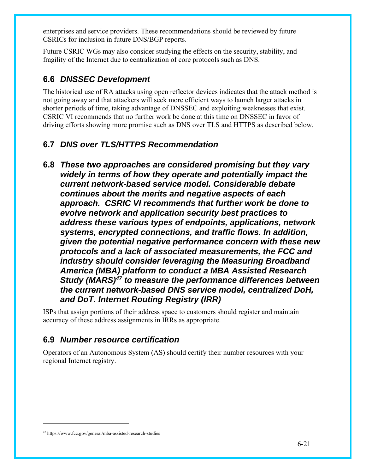enterprises and service providers. These recommendations should be reviewed by future CSRICs for inclusion in future DNS/BGP reports.

Future CSRIC WGs may also consider studying the effects on the security, stability, and fragility of the Internet due to centralization of core protocols such as DNS.

## **6.6** *DNSSEC Development*

The historical use of RA attacks using open reflector devices indicates that the attack method is not going away and that attackers will seek more efficient ways to launch larger attacks in shorter periods of time, taking advantage of DNSSEC and exploiting weaknesses that exist. CSRIC VI recommends that no further work be done at this time on DNSSEC in favor of driving efforts showing more promise such as DNS over TLS and HTTPS as described below.

## **6.7** *DNS over TLS/HTTPS Recommendation*

**6.8** *These two approaches are considered promising but they vary widely in terms of how they operate and potentially impact the current network-based service model. Considerable debate continues about the merits and negative aspects of each approach. CSRIC VI recommends that further work be done to evolve network and application security best practices to address these various types of endpoints, applications, network systems, encrypted connections, and traffic flows. In addition, given the potential negative performance concern with these new protocols and a lack of associated measurements, the FCC and industry should consider leveraging the Measuring Broadband America (MBA) platform to conduct a MBA Assisted Research Study (MARS)47 to measure the performance differences between the current network-based DNS service model, centralized DoH, and DoT. Internet Routing Registry (IRR)* 

ISPs that assign portions of their address space to customers should register and maintain accuracy of these address assignments in IRRs as appropriate.

## **6.9** *Number resource certification*

Operators of an Autonomous System (AS) should certify their number resources with your regional Internet registry.

<sup>47</sup> https://www.fcc.gov/general/mba-assisted-research-studies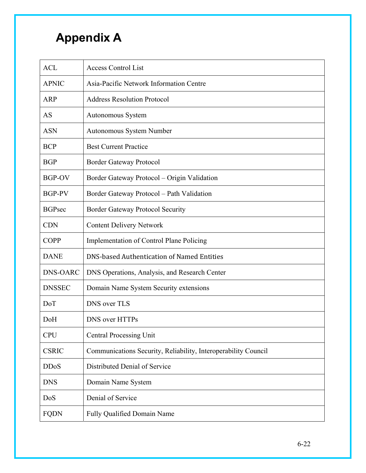# **Appendix A**

| <b>ACL</b>      | <b>Access Control List</b>                                     |
|-----------------|----------------------------------------------------------------|
| <b>APNIC</b>    | Asia-Pacific Network Information Centre                        |
| <b>ARP</b>      | <b>Address Resolution Protocol</b>                             |
| AS              | Autonomous System                                              |
| <b>ASN</b>      | Autonomous System Number                                       |
| <b>BCP</b>      | <b>Best Current Practice</b>                                   |
| <b>BGP</b>      | Border Gateway Protocol                                        |
| BGP-OV          | Border Gateway Protocol – Origin Validation                    |
| BGP-PV          | Border Gateway Protocol - Path Validation                      |
| <b>BGPsec</b>   | Border Gateway Protocol Security                               |
| <b>CDN</b>      | <b>Content Delivery Network</b>                                |
| <b>COPP</b>     | <b>Implementation of Control Plane Policing</b>                |
| <b>DANE</b>     | <b>DNS-based Authentication of Named Entities</b>              |
| <b>DNS-OARC</b> | DNS Operations, Analysis, and Research Center                  |
| <b>DNSSEC</b>   | Domain Name System Security extensions                         |
| DoT             | <b>DNS</b> over TLS                                            |
| DoH             | DNS over HTTPs                                                 |
| <b>CPU</b>      | <b>Central Processing Unit</b>                                 |
| <b>CSRIC</b>    | Communications Security, Reliability, Interoperability Council |
| <b>DDoS</b>     | Distributed Denial of Service                                  |
| <b>DNS</b>      | Domain Name System                                             |
| DoS             | Denial of Service                                              |
| <b>FQDN</b>     | Fully Qualified Domain Name                                    |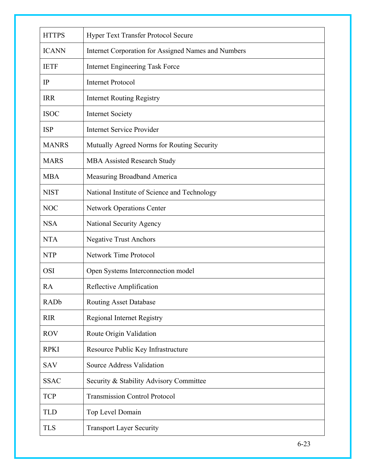| <b>HTTPS</b> | <b>Hyper Text Transfer Protocol Secure</b>          |
|--------------|-----------------------------------------------------|
| <b>ICANN</b> | Internet Corporation for Assigned Names and Numbers |
| <b>IETF</b>  | <b>Internet Engineering Task Force</b>              |
| IP           | <b>Internet Protocol</b>                            |
| <b>IRR</b>   | <b>Internet Routing Registry</b>                    |
| <b>ISOC</b>  | <b>Internet Society</b>                             |
| <b>ISP</b>   | <b>Internet Service Provider</b>                    |
| <b>MANRS</b> | Mutually Agreed Norms for Routing Security          |
| <b>MARS</b>  | <b>MBA Assisted Research Study</b>                  |
| <b>MBA</b>   | Measuring Broadband America                         |
| <b>NIST</b>  | National Institute of Science and Technology        |
| <b>NOC</b>   | <b>Network Operations Center</b>                    |
| <b>NSA</b>   | National Security Agency                            |
| <b>NTA</b>   | <b>Negative Trust Anchors</b>                       |
| <b>NTP</b>   | <b>Network Time Protocol</b>                        |
| <b>OSI</b>   | Open Systems Interconnection model                  |
| <b>RA</b>    | Reflective Amplification                            |
| <b>RADb</b>  | <b>Routing Asset Database</b>                       |
| <b>RIR</b>   | <b>Regional Internet Registry</b>                   |
| <b>ROV</b>   | Route Origin Validation                             |
| <b>RPKI</b>  | Resource Public Key Infrastructure                  |
| <b>SAV</b>   | <b>Source Address Validation</b>                    |
| <b>SSAC</b>  | Security & Stability Advisory Committee             |
| <b>TCP</b>   | <b>Transmission Control Protocol</b>                |
| <b>TLD</b>   | Top Level Domain                                    |
| <b>TLS</b>   | <b>Transport Layer Security</b>                     |
|              |                                                     |